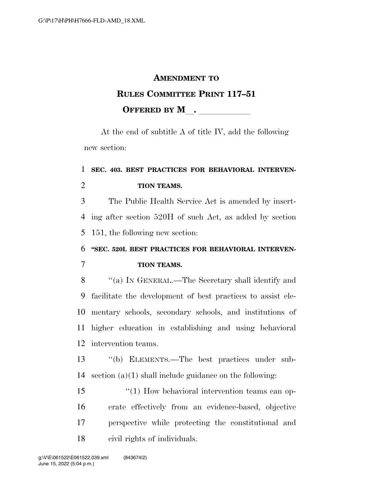#### **AMENDMENT TO**

## **RULES COMMITTEE PRINT 117–51 OFFERED BY M**.

At the end of subtitle A of title IV, add the following new section:

# **SEC. 403. BEST PRACTICES FOR BEHAVIORAL INTERVEN-TION TEAMS.**

 The Public Health Service Act is amended by insert- ing after section 520H of such Act, as added by section 151, the following new section:

# **''SEC. 520I. BEST PRACTICES FOR BEHAVIORAL INTERVEN-TION TEAMS.**

 ''(a) IN GENERAL.—The Secretary shall identify and facilitate the development of best practices to assist ele- mentary schools, secondary schools, and institutions of higher education in establishing and using behavioral intervention teams.

 ''(b) ELEMENTS.—The best practices under sub-section (a)(1) shall include guidance on the following:

 ''(1) How behavioral intervention teams can op- erate effectively from an evidence-based, objective perspective while protecting the constitutional and civil rights of individuals.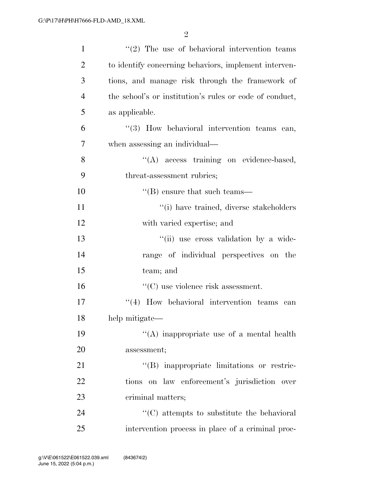| $\mathbf{1}$   | $\lq(2)$ The use of behavioral intervention teams       |
|----------------|---------------------------------------------------------|
| $\overline{2}$ | to identify concerning behaviors, implement interven-   |
| 3              | tions, and manage risk through the framework of         |
| $\overline{4}$ | the school's or institution's rules or code of conduct, |
| 5              | as applicable.                                          |
| 6              | "(3) How behavioral intervention teams can,             |
| 7              | when assessing an individual—                           |
| 8              | "(A) access training on evidence-based,                 |
| 9              | threat-assessment rubrics;                              |
| 10             | $\lq\lq$ ensure that such teams—                        |
| 11             | "(i) have trained, diverse stakeholders                 |
| 12             | with varied expertise; and                              |
| 13             | "(ii) use cross validation by a wide-                   |
| 14             | range of individual perspectives on the                 |
| 15             | team; and                                               |
| 16             | $\lq\lq$ (C) use violence risk assessment.              |
| 17             | $\lq(4)$ How behavioral intervention teams can          |
| 18             | help mitigate—                                          |
| 19             | "(A) inappropriate use of a mental health               |
| 20             | assessment;                                             |
| 21             | "(B) inappropriate limitations or restric-              |
| 22             | tions on law enforcement's jurisdiction over            |
| 23             | criminal matters;                                       |
| 24             | $\cdot$ (C) attempts to substitute the behavioral       |
| 25             | intervention process in place of a criminal proc-       |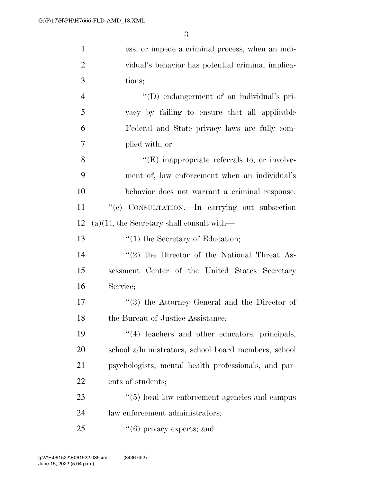| $\mathbf{1}$   | ess, or impede a criminal process, when an indi-     |
|----------------|------------------------------------------------------|
| $\overline{2}$ | vidual's behavior has potential criminal implica-    |
| 3              | tions;                                               |
| $\overline{4}$ | "(D) endangerment of an individual's pri-            |
| 5              | vacy by failing to ensure that all applicable        |
| 6              | Federal and State privacy laws are fully com-        |
| 7              | plied with; or                                       |
| 8              | $\lq\lq(E)$ inappropriate referrals to, or involve-  |
| 9              | ment of, law enforcement when an individual's        |
| 10             | behavior does not warrant a criminal response.       |
| 11             | "(c) CONSULTATION.—In carrying out subsection        |
| 12             | $(a)(1)$ , the Secretary shall consult with—         |
| 13             | $"(1)$ the Secretary of Education;                   |
| 14             | $\lq(2)$ the Director of the National Threat As-     |
| 15             | sessment Center of the United States Secretary       |
| 16             | Service;                                             |
| 17             | $(3)$ the Attorney General and the Director of       |
| 18             | the Bureau of Justice Assistance;                    |
| 19             | "(4) teachers and other educators, principals,       |
| 20             | school administrators, school board members, school  |
| 21             | psychologists, mental health professionals, and par- |
| 22             | ents of students;                                    |
| 23             | $\lq(5)$ local law enforcement agencies and campus   |
| 24             | law enforcement administrators;                      |
|                |                                                      |

25 ''(6) privacy experts; and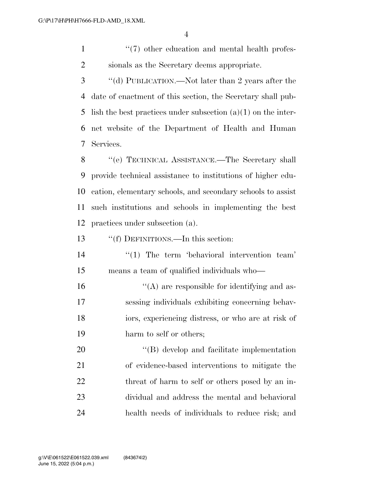1 ''(7) other education and mental health profes-sionals as the Secretary deems appropriate.

 ''(d) PUBLICATION.—Not later than 2 years after the date of enactment of this section, the Secretary shall pub-5 lish the best practices under subsection  $(a)(1)$  on the inter- net website of the Department of Health and Human Services.

 ''(e) TECHNICAL ASSISTANCE.—The Secretary shall provide technical assistance to institutions of higher edu- cation, elementary schools, and secondary schools to assist such institutions and schools in implementing the best practices under subsection (a).

''(f) DEFINITIONS.—In this section:

14  $\frac{1}{2}$  The term 'behavioral intervention team' means a team of qualified individuals who—

 $\langle (A)$  are responsible for identifying and as- sessing individuals exhibiting concerning behav- iors, experiencing distress, or who are at risk of 19 harm to self or others;

20 "'(B) develop and facilitate implementation of evidence-based interventions to mitigate the 22 threat of harm to self or others posed by an in- dividual and address the mental and behavioral health needs of individuals to reduce risk; and